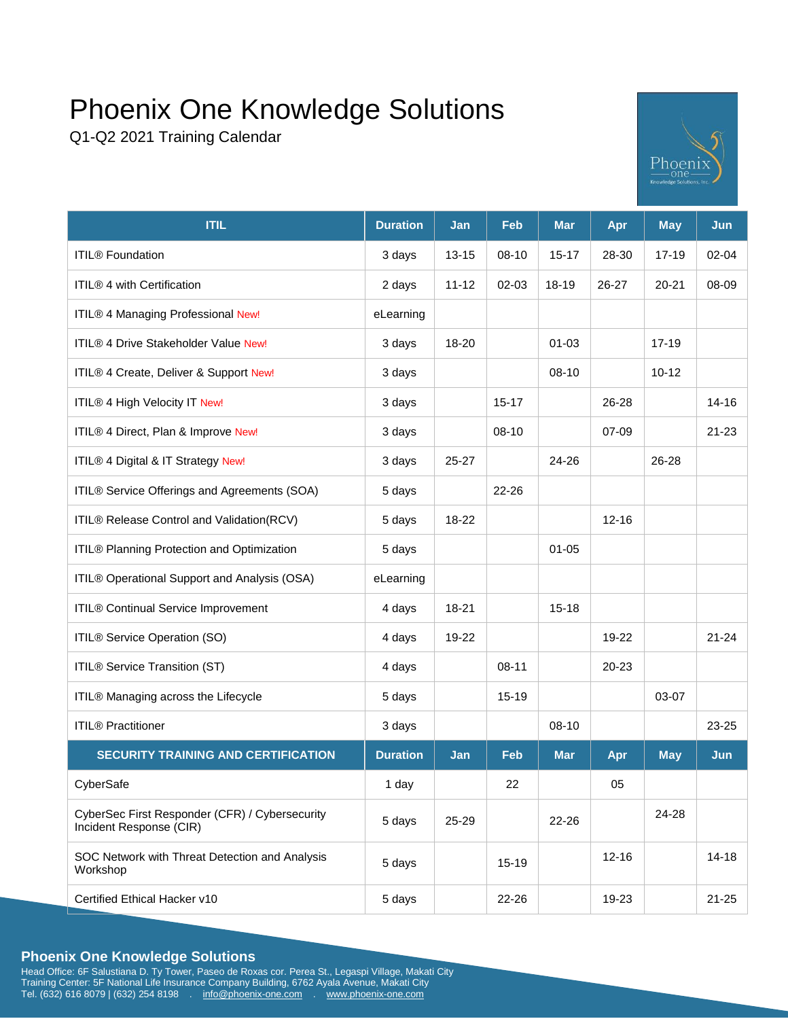Q1-Q2 2021 Training Calendar



| <b>ITIL</b>                                                               | <b>Duration</b> | Jan       | Feb       | <b>Mar</b> | Apr       | <b>May</b> | Jun       |
|---------------------------------------------------------------------------|-----------------|-----------|-----------|------------|-----------|------------|-----------|
| <b>ITIL®</b> Foundation                                                   | 3 days          | $13 - 15$ | 08-10     | $15 - 17$  | 28-30     | $17 - 19$  | $02 - 04$ |
| ITIL® 4 with Certification                                                | 2 days          | $11 - 12$ | 02-03     | 18-19      | 26-27     | $20 - 21$  | 08-09     |
| ITIL® 4 Managing Professional New!                                        | eLearning       |           |           |            |           |            |           |
| ITIL® 4 Drive Stakeholder Value New!                                      | 3 days          | 18-20     |           | $01 - 03$  |           | $17 - 19$  |           |
| ITIL® 4 Create, Deliver & Support New!                                    | 3 days          |           |           | 08-10      |           | $10 - 12$  |           |
| ITIL® 4 High Velocity IT New!                                             | 3 days          |           | $15 - 17$ |            | 26-28     |            | $14 - 16$ |
| ITIL® 4 Direct, Plan & Improve New!                                       | 3 days          |           | $08-10$   |            | 07-09     |            | $21 - 23$ |
| ITIL® 4 Digital & IT Strategy New!                                        | 3 days          | 25-27     |           | 24-26      |           | 26-28      |           |
| ITIL® Service Offerings and Agreements (SOA)                              | 5 days          |           | 22-26     |            |           |            |           |
| ITIL® Release Control and Validation(RCV)                                 | 5 days          | 18-22     |           |            | $12 - 16$ |            |           |
| ITIL® Planning Protection and Optimization                                | 5 days          |           |           | $01 - 05$  |           |            |           |
| ITIL® Operational Support and Analysis (OSA)                              | eLearning       |           |           |            |           |            |           |
| ITIL® Continual Service Improvement                                       | 4 days          | 18-21     |           | $15 - 18$  |           |            |           |
| ITIL® Service Operation (SO)                                              | 4 days          | 19-22     |           |            | 19-22     |            | $21 - 24$ |
| ITIL® Service Transition (ST)                                             | 4 days          |           | $08 - 11$ |            | 20-23     |            |           |
| ITIL® Managing across the Lifecycle                                       | 5 days          |           | 15-19     |            |           | 03-07      |           |
| <b>ITIL® Practitioner</b>                                                 | 3 days          |           |           | 08-10      |           |            | 23-25     |
| <b>SECURITY TRAINING AND CERTIFICATION</b>                                | <b>Duration</b> | Jan       | Feb       | <b>Mar</b> | Apr       | <b>May</b> | Jun       |
| CyberSafe                                                                 | 1 day           |           | 22        |            | 05        |            |           |
| CyberSec First Responder (CFR) / Cybersecurity<br>Incident Response (CIR) | 5 days          | 25-29     |           | 22-26      |           | 24-28      |           |
| SOC Network with Threat Detection and Analysis<br>Workshop                | 5 days          |           | 15-19     |            | $12 - 16$ |            | $14 - 18$ |
| Certified Ethical Hacker v10                                              | 5 days          |           | 22-26     |            | 19-23     |            | $21 - 25$ |

# **Phoenix One Knowledge Solutions**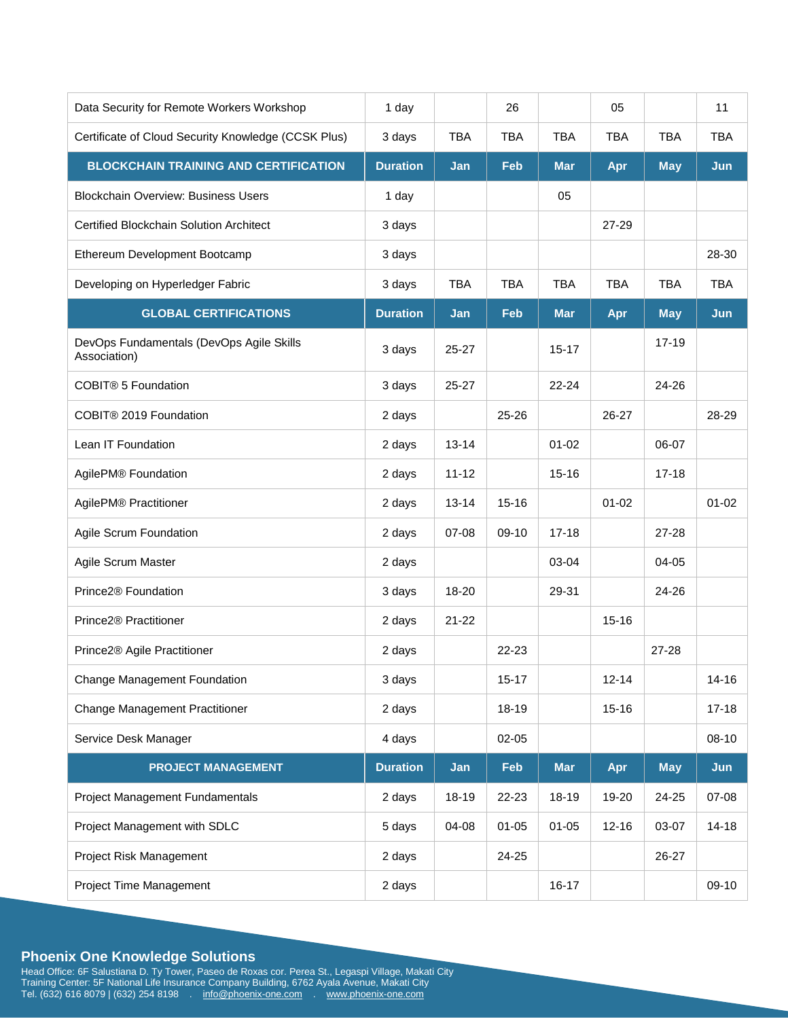| Data Security for Remote Workers Workshop                | 1 day           |            | 26         |            | 05         |            | 11         |
|----------------------------------------------------------|-----------------|------------|------------|------------|------------|------------|------------|
| Certificate of Cloud Security Knowledge (CCSK Plus)      | 3 days          | <b>TBA</b> | <b>TBA</b> | <b>TBA</b> | <b>TBA</b> | <b>TBA</b> | <b>TBA</b> |
| <b>BLOCKCHAIN TRAINING AND CERTIFICATION</b>             | <b>Duration</b> | Jan        | <b>Feb</b> | <b>Mar</b> | Apr        | <b>May</b> | Jun        |
| <b>Blockchain Overview: Business Users</b>               | 1 day           |            |            | 05         |            |            |            |
| <b>Certified Blockchain Solution Architect</b>           | 3 days          |            |            |            | 27-29      |            |            |
| Ethereum Development Bootcamp                            | 3 days          |            |            |            |            |            | 28-30      |
| Developing on Hyperledger Fabric                         | 3 days          | <b>TBA</b> | <b>TBA</b> | <b>TBA</b> | <b>TBA</b> | <b>TBA</b> | <b>TBA</b> |
| <b>GLOBAL CERTIFICATIONS</b>                             | <b>Duration</b> | Jan        | Feb        | <b>Mar</b> | Apr        | <b>May</b> | Jun        |
| DevOps Fundamentals (DevOps Agile Skills<br>Association) | 3 days          | $25 - 27$  |            | $15 - 17$  |            | $17 - 19$  |            |
| COBIT® 5 Foundation                                      | 3 days          | 25-27      |            | $22 - 24$  |            | 24-26      |            |
| COBIT® 2019 Foundation                                   | 2 days          |            | 25-26      |            | 26-27      |            | 28-29      |
| Lean IT Foundation                                       | 2 days          | $13 - 14$  |            | $01 - 02$  |            | 06-07      |            |
| AgilePM® Foundation                                      | 2 days          | $11 - 12$  |            | $15 - 16$  |            | $17 - 18$  |            |
| AgilePM® Practitioner                                    | 2 days          | $13 - 14$  | $15 - 16$  |            | $01 - 02$  |            | $01 - 02$  |
| Agile Scrum Foundation                                   | 2 days          | 07-08      | 09-10      | $17 - 18$  |            | 27-28      |            |
| Agile Scrum Master                                       | 2 days          |            |            | 03-04      |            | 04-05      |            |
| Prince2 <sup>®</sup> Foundation                          | 3 days          | 18-20      |            | 29-31      |            | 24-26      |            |
| Prince2® Practitioner                                    | 2 days          | $21 - 22$  |            |            | $15 - 16$  |            |            |
| Prince2® Agile Practitioner                              | 2 days          |            | 22-23      |            |            | 27-28      |            |
| Change Management Foundation                             | 3 days          |            | $15 - 17$  |            | $12 - 14$  |            | $14 - 16$  |
| <b>Change Management Practitioner</b>                    | 2 days          |            | 18-19      |            | $15 - 16$  |            | $17 - 18$  |
| Service Desk Manager                                     | 4 days          |            | 02-05      |            |            |            | 08-10      |
| <b>PROJECT MANAGEMENT</b>                                | <b>Duration</b> | Jan        | Feb        | <b>Mar</b> | Apr        | <b>May</b> | Jun        |
| Project Management Fundamentals                          | 2 days          | 18-19      | 22-23      | 18-19      | 19-20      | 24-25      | 07-08      |
| Project Management with SDLC                             | 5 days          | 04-08      | $01 - 05$  | $01 - 05$  | $12 - 16$  | 03-07      | $14 - 18$  |
| Project Risk Management                                  | 2 days          |            | 24-25      |            |            | 26-27      |            |
| Project Time Management                                  | 2 days          |            |            | $16 - 17$  |            |            | 09-10      |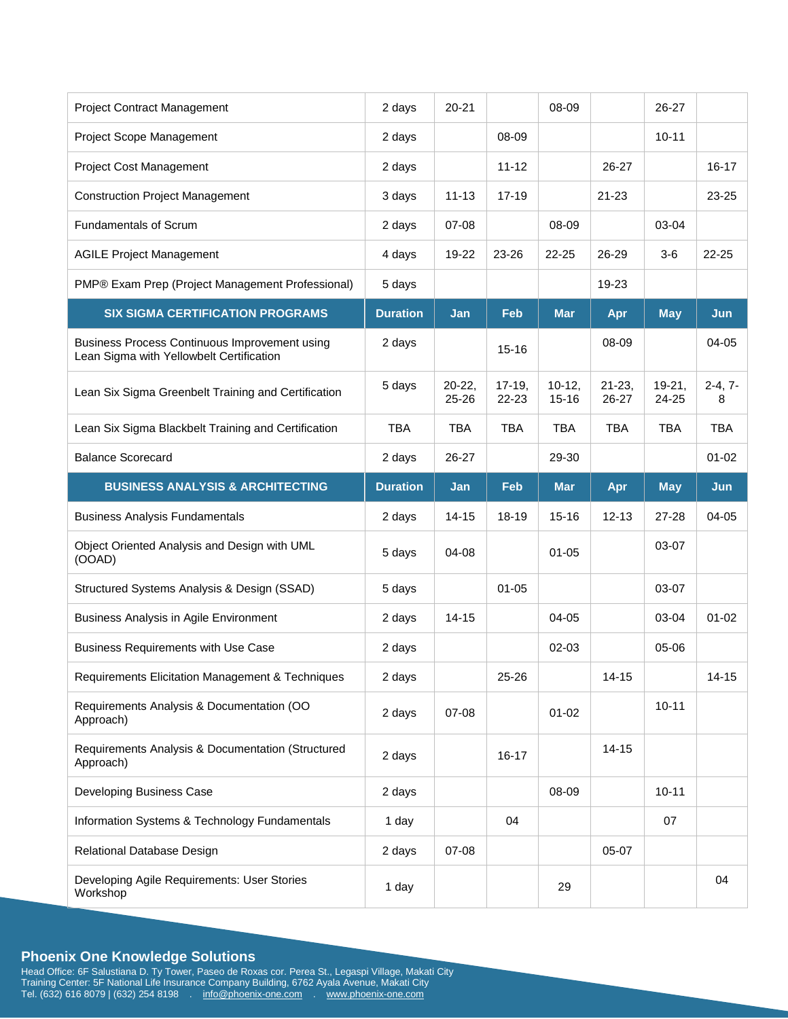| <b>Project Contract Management</b>                                                        | 2 days          | $20 - 21$               |                   | 08-09                 |                      | 26-27             |                |
|-------------------------------------------------------------------------------------------|-----------------|-------------------------|-------------------|-----------------------|----------------------|-------------------|----------------|
| Project Scope Management                                                                  | 2 days          |                         | 08-09             |                       |                      | $10 - 11$         |                |
| Project Cost Management                                                                   | 2 days          |                         | $11 - 12$         |                       | 26-27                |                   | $16 - 17$      |
| <b>Construction Project Management</b>                                                    | 3 days          | $11 - 13$               | $17 - 19$         |                       | $21 - 23$            |                   | 23-25          |
| <b>Fundamentals of Scrum</b>                                                              | 2 days          | 07-08                   |                   | 08-09                 |                      | 03-04             |                |
| <b>AGILE Project Management</b>                                                           | 4 days          | 19-22                   | 23-26             | 22-25                 | 26-29                | $3-6$             | 22-25          |
| PMP® Exam Prep (Project Management Professional)                                          | 5 days          |                         |                   |                       | 19-23                |                   |                |
| <b>SIX SIGMA CERTIFICATION PROGRAMS</b>                                                   | <b>Duration</b> | Jan                     | Feb               | <b>Mar</b>            | Apr                  | <b>May</b>        | Jun            |
| Business Process Continuous Improvement using<br>Lean Sigma with Yellowbelt Certification | 2 days          |                         | $15 - 16$         |                       | 08-09                |                   | 04-05          |
| Lean Six Sigma Greenbelt Training and Certification                                       | 5 days          | $20 - 22,$<br>$25 - 26$ | $17-19,$<br>22-23 | $10-12,$<br>$15 - 16$ | $21 - 23$ ,<br>26-27 | $19-21,$<br>24-25 | $2-4, 7-$<br>8 |
| Lean Six Sigma Blackbelt Training and Certification                                       | <b>TBA</b>      | <b>TBA</b>              | <b>TBA</b>        | <b>TBA</b>            | <b>TBA</b>           | <b>TBA</b>        | <b>TBA</b>     |
| <b>Balance Scorecard</b>                                                                  | 2 days          | 26-27                   |                   | 29-30                 |                      |                   | $01 - 02$      |
| <b>BUSINESS ANALYSIS &amp; ARCHITECTING</b>                                               | <b>Duration</b> | Jan                     | Feb               | <b>Mar</b>            | Apr                  | <b>May</b>        | Jun            |
|                                                                                           |                 |                         |                   |                       |                      |                   |                |
| <b>Business Analysis Fundamentals</b>                                                     | 2 days          | $14 - 15$               | 18-19             | $15 - 16$             | $12 - 13$            | 27-28             | 04-05          |
| Object Oriented Analysis and Design with UML<br>(OOAD)                                    | 5 days          | 04-08                   |                   | $01 - 05$             |                      | 03-07             |                |
| Structured Systems Analysis & Design (SSAD)                                               | 5 days          |                         | $01 - 05$         |                       |                      | 03-07             |                |
| Business Analysis in Agile Environment                                                    | 2 days          | $14 - 15$               |                   | $04 - 05$             |                      | 03-04             | $01 - 02$      |
| <b>Business Requirements with Use Case</b>                                                | 2 days          |                         |                   | 02-03                 |                      | 05-06             |                |
| Requirements Elicitation Management & Techniques                                          | 2 days          |                         | 25-26             |                       | $14 - 15$            |                   | $14 - 15$      |
| Requirements Analysis & Documentation (OO<br>Approach)                                    | 2 days          | 07-08                   |                   | $01 - 02$             |                      | $10 - 11$         |                |
| Requirements Analysis & Documentation (Structured<br>Approach)                            | 2 days          |                         | $16 - 17$         |                       | $14 - 15$            |                   |                |
| Developing Business Case                                                                  | 2 days          |                         |                   | 08-09                 |                      | $10 - 11$         |                |
| Information Systems & Technology Fundamentals                                             | 1 day           |                         | 04                |                       |                      | 07                |                |
| Relational Database Design                                                                | 2 days          | 07-08                   |                   |                       | 05-07                |                   |                |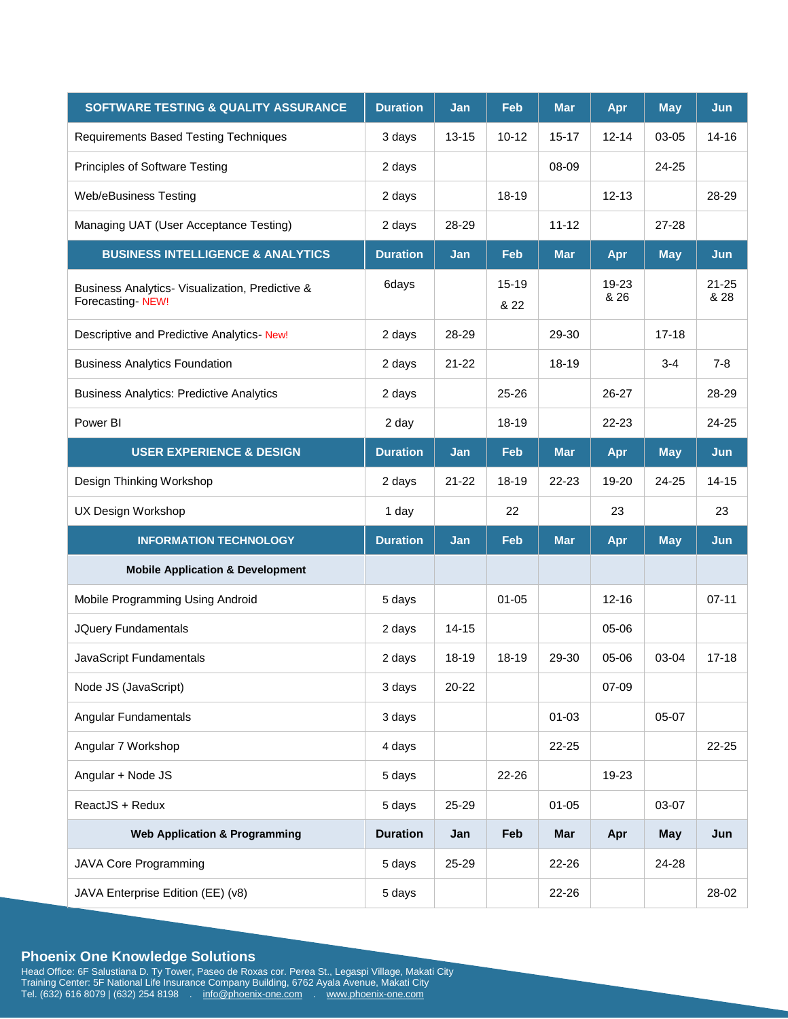| <b>SOFTWARE TESTING &amp; QUALITY ASSURANCE</b>                     | <b>Duration</b> | Jan       | <b>Feb</b>        | <b>Mar</b> | Apr           | <b>May</b> | Jun               |
|---------------------------------------------------------------------|-----------------|-----------|-------------------|------------|---------------|------------|-------------------|
| Requirements Based Testing Techniques                               | 3 days          | $13 - 15$ | $10 - 12$         | $15 - 17$  | $12 - 14$     | 03-05      | $14 - 16$         |
| Principles of Software Testing                                      | 2 days          |           |                   | 08-09      |               | 24-25      |                   |
| <b>Web/eBusiness Testing</b>                                        | 2 days          |           | 18-19             |            | $12 - 13$     |            | 28-29             |
| Managing UAT (User Acceptance Testing)                              | 2 days          | 28-29     |                   | $11 - 12$  |               | $27 - 28$  |                   |
| <b>BUSINESS INTELLIGENCE &amp; ANALYTICS</b>                        | <b>Duration</b> | Jan       | <b>Feb</b>        | <b>Mar</b> | Apr           | <b>May</b> | Jun               |
| Business Analytics- Visualization, Predictive &<br>Forecasting-NEW! | 6days           |           | $15 - 19$<br>& 22 |            | 19-23<br>& 26 |            | $21 - 25$<br>& 28 |
| Descriptive and Predictive Analytics- New!                          | 2 days          | 28-29     |                   | 29-30      |               | $17 - 18$  |                   |
| <b>Business Analytics Foundation</b>                                | 2 days          | $21 - 22$ |                   | 18-19      |               | 3-4        | $7 - 8$           |
| <b>Business Analytics: Predictive Analytics</b>                     | 2 days          |           | $25 - 26$         |            | 26-27         |            | 28-29             |
| Power BI                                                            | 2 day           |           | 18-19             |            | 22-23         |            | 24-25             |
| <b>USER EXPERIENCE &amp; DESIGN</b>                                 | <b>Duration</b> | Jan       | <b>Feb</b>        | <b>Mar</b> | Apr           | <b>May</b> | Jun               |
| Design Thinking Workshop                                            | 2 days          | $21 - 22$ | 18-19             | 22-23      | 19-20         | 24-25      | $14 - 15$         |
| UX Design Workshop                                                  | 1 day           |           | 22                |            | 23            |            | 23                |
| <b>INFORMATION TECHNOLOGY</b>                                       | <b>Duration</b> | Jan       | <b>Feb</b>        | <b>Mar</b> | Apr           | <b>May</b> | Jun               |
| <b>Mobile Application &amp; Development</b>                         |                 |           |                   |            |               |            |                   |
| Mobile Programming Using Android                                    | 5 days          |           | $01 - 05$         |            | $12 - 16$     |            | $07 - 11$         |
| JQuery Fundamentals                                                 | 2 days          | $14 - 15$ |                   |            | 05-06         |            |                   |
| JavaScript Fundamentals                                             | 2 days          | 18-19     | 18-19             | 29-30      | 05-06         | 03-04      | $17 - 18$         |
| Node JS (JavaScript)                                                | 3 days          | 20-22     |                   |            | 07-09         |            |                   |
| Angular Fundamentals                                                | 3 days          |           |                   | $01 - 03$  |               | 05-07      |                   |
| Angular 7 Workshop                                                  | 4 days          |           |                   | 22-25      |               |            | 22-25             |
| Angular + Node JS                                                   | 5 days          |           | 22-26             |            | 19-23         |            |                   |
| ReactJS + Redux                                                     | 5 days          | 25-29     |                   | $01 - 05$  |               | 03-07      |                   |
| <b>Web Application &amp; Programming</b>                            | <b>Duration</b> | Jan       | Feb               | <b>Mar</b> | Apr           | May        | Jun               |
| <b>JAVA Core Programming</b>                                        | 5 days          | 25-29     |                   | 22-26      |               | 24-28      |                   |
| JAVA Enterprise Edition (EE) (v8)                                   | 5 days          |           |                   | 22-26      |               |            | 28-02             |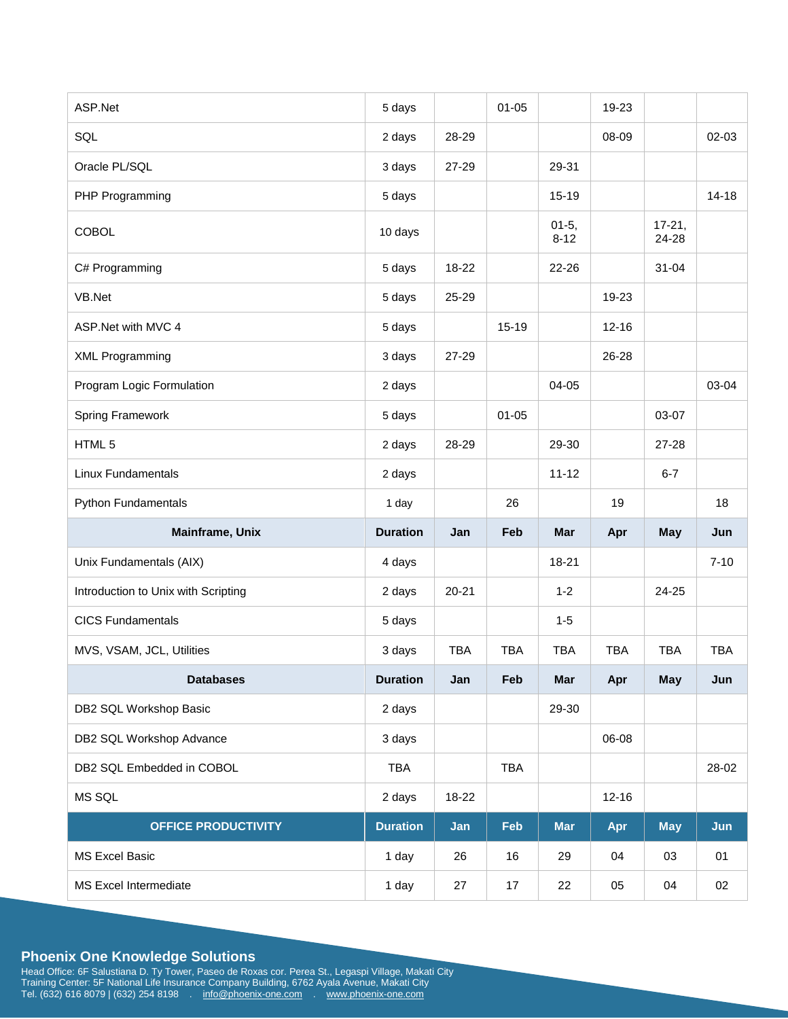| ASP.Net                             | 5 days          |            | $01 - 05$  |                     | 19-23      |                     |            |
|-------------------------------------|-----------------|------------|------------|---------------------|------------|---------------------|------------|
| SQL                                 | 2 days          | 28-29      |            |                     | 08-09      |                     | 02-03      |
| Oracle PL/SQL                       | 3 days          | 27-29      |            | 29-31               |            |                     |            |
| PHP Programming                     | 5 days          |            |            | $15 - 19$           |            |                     | $14 - 18$  |
| <b>COBOL</b>                        | 10 days         |            |            | $01-5,$<br>$8 - 12$ |            | $17 - 21,$<br>24-28 |            |
| C# Programming                      | 5 days          | 18-22      |            | 22-26               |            | $31 - 04$           |            |
| VB.Net                              | 5 days          | 25-29      |            |                     | 19-23      |                     |            |
| ASP.Net with MVC 4                  | 5 days          |            | 15-19      |                     | $12 - 16$  |                     |            |
| <b>XML Programming</b>              | 3 days          | 27-29      |            |                     | 26-28      |                     |            |
| Program Logic Formulation           | 2 days          |            |            | 04-05               |            |                     | 03-04      |
| <b>Spring Framework</b>             | 5 days          |            | $01 - 05$  |                     |            | 03-07               |            |
| HTML 5                              | 2 days          | 28-29      |            | 29-30               |            | 27-28               |            |
| <b>Linux Fundamentals</b>           | 2 days          |            |            | $11 - 12$           |            | $6 - 7$             |            |
| <b>Python Fundamentals</b>          | 1 day           |            | 26         |                     | 19         |                     | 18         |
| Mainframe, Unix                     | <b>Duration</b> | Jan        | Feb        | <b>Mar</b>          | Apr        | May                 | Jun        |
| Unix Fundamentals (AIX)             | 4 days          |            |            | 18-21               |            |                     | $7 - 10$   |
| Introduction to Unix with Scripting | 2 days          | $20 - 21$  |            | $1 - 2$             |            | 24-25               |            |
| <b>CICS Fundamentals</b>            | 5 days          |            |            | $1 - 5$             |            |                     |            |
| MVS, VSAM, JCL, Utilities           | 3 days          | <b>TBA</b> | <b>TBA</b> | <b>TBA</b>          | <b>TBA</b> | <b>TBA</b>          | <b>TBA</b> |
| <b>Databases</b>                    | <b>Duration</b> | Jan        | Feb        | Mar                 | Apr        | May                 | Jun        |
| DB2 SQL Workshop Basic              | 2 days          |            |            | 29-30               |            |                     |            |
| DB2 SQL Workshop Advance            | 3 days          |            |            |                     | 06-08      |                     |            |
| DB2 SQL Embedded in COBOL           | TBA             |            | <b>TBA</b> |                     |            |                     | 28-02      |
| MS SQL                              | 2 days          | 18-22      |            |                     | $12 - 16$  |                     |            |
|                                     |                 |            |            |                     |            |                     |            |
| <b>OFFICE PRODUCTIVITY</b>          | <b>Duration</b> | Jan        | Feb        | <b>Mar</b>          | Apr        | <b>May</b>          | Jun        |
| <b>MS Excel Basic</b>               | 1 day           | 26         | 16         | 29                  | 04         | 03                  | 01         |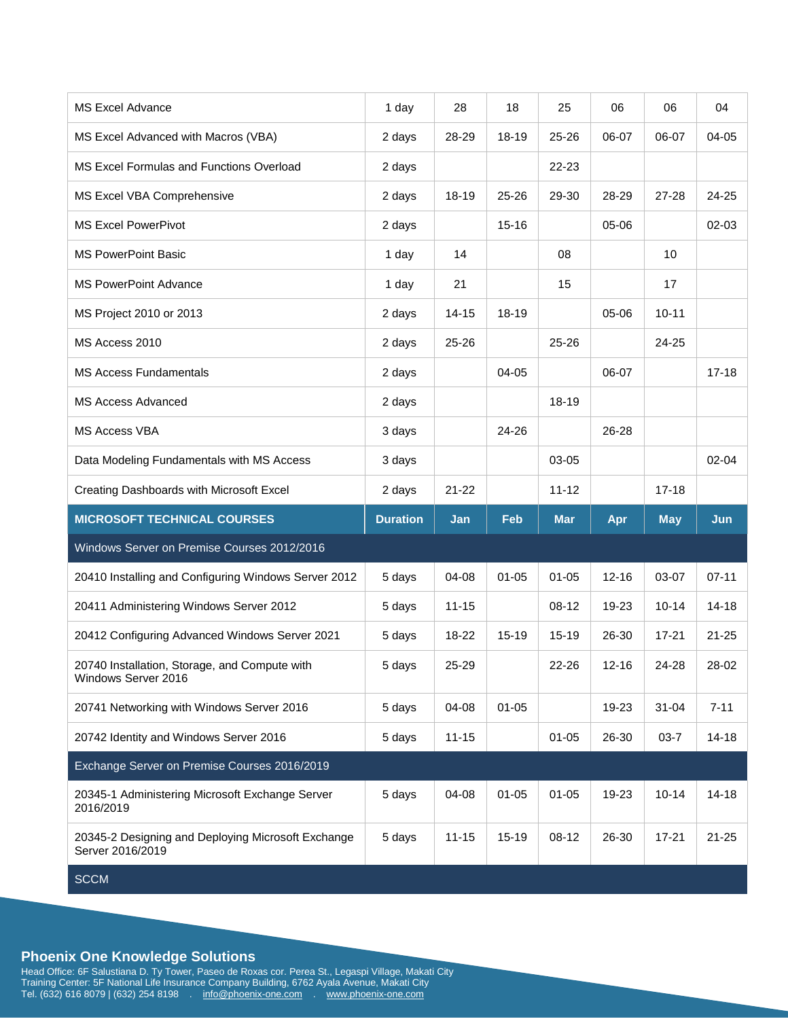| <b>MS Excel Advance</b>                                                | 1 day           | 28        | 18         | 25         | 06        | 06         | 04        |
|------------------------------------------------------------------------|-----------------|-----------|------------|------------|-----------|------------|-----------|
| MS Excel Advanced with Macros (VBA)                                    | 2 days          | 28-29     | 18-19      | 25-26      | 06-07     | 06-07      | 04-05     |
| MS Excel Formulas and Functions Overload                               | 2 days          |           |            | 22-23      |           |            |           |
| MS Excel VBA Comprehensive                                             | 2 days          | 18-19     | 25-26      | 29-30      | 28-29     | 27-28      | 24-25     |
| <b>MS Excel PowerPivot</b>                                             | 2 days          |           | $15 - 16$  |            | 05-06     |            | 02-03     |
| <b>MS PowerPoint Basic</b>                                             | 1 day           | 14        |            | 08         |           | 10         |           |
| <b>MS PowerPoint Advance</b>                                           | 1 day           | 21        |            | 15         |           | 17         |           |
| MS Project 2010 or 2013                                                | 2 days          | $14 - 15$ | $18 - 19$  |            | 05-06     | $10 - 11$  |           |
| MS Access 2010                                                         | 2 days          | $25 - 26$ |            | 25-26      |           | 24-25      |           |
| <b>MS Access Fundamentals</b>                                          | 2 days          |           | 04-05      |            | 06-07     |            | $17 - 18$ |
| <b>MS Access Advanced</b>                                              | 2 days          |           |            | 18-19      |           |            |           |
| <b>MS Access VBA</b>                                                   | 3 days          |           | 24-26      |            | 26-28     |            |           |
| Data Modeling Fundamentals with MS Access                              | 3 days          |           |            | $03-05$    |           |            | $02 - 04$ |
| Creating Dashboards with Microsoft Excel                               | 2 days          | $21 - 22$ |            | $11 - 12$  |           | $17 - 18$  |           |
|                                                                        |                 |           |            |            |           |            |           |
| <b>MICROSOFT TECHNICAL COURSES</b>                                     | <b>Duration</b> | Jan       | <b>Feb</b> | <b>Mar</b> | Apr       | <b>May</b> | Jun       |
| Windows Server on Premise Courses 2012/2016                            |                 |           |            |            |           |            |           |
| 20410 Installing and Configuring Windows Server 2012                   | 5 days          | 04-08     | $01 - 05$  | $01 - 05$  | $12 - 16$ | 03-07      | $07 - 11$ |
| 20411 Administering Windows Server 2012                                | 5 days          | $11 - 15$ |            | $08-12$    | 19-23     | $10 - 14$  | $14 - 18$ |
| 20412 Configuring Advanced Windows Server 2021                         | 5 days          | 18-22     | 15-19      | $15 - 19$  | 26-30     | $17 - 21$  | $21 - 25$ |
| 20740 Installation, Storage, and Compute with<br>Windows Server 2016   | 5 days          | 25-29     |            | 22-26      | $12 - 16$ | 24-28      | 28-02     |
| 20741 Networking with Windows Server 2016                              | 5 days          | 04-08     | $01 - 05$  |            | 19-23     | $31 - 04$  | $7 - 11$  |
| 20742 Identity and Windows Server 2016                                 | 5 days          | $11 - 15$ |            | $01 - 05$  | 26-30     | $03 - 7$   | $14 - 18$ |
| Exchange Server on Premise Courses 2016/2019                           |                 |           |            |            |           |            |           |
| 20345-1 Administering Microsoft Exchange Server<br>2016/2019           | 5 days          | 04-08     | $01 - 05$  | $01 - 05$  | 19-23     | $10 - 14$  | $14 - 18$ |
| 20345-2 Designing and Deploying Microsoft Exchange<br>Server 2016/2019 | 5 days          | $11 - 15$ | 15-19      | 08-12      | 26-30     | $17 - 21$  | $21 - 25$ |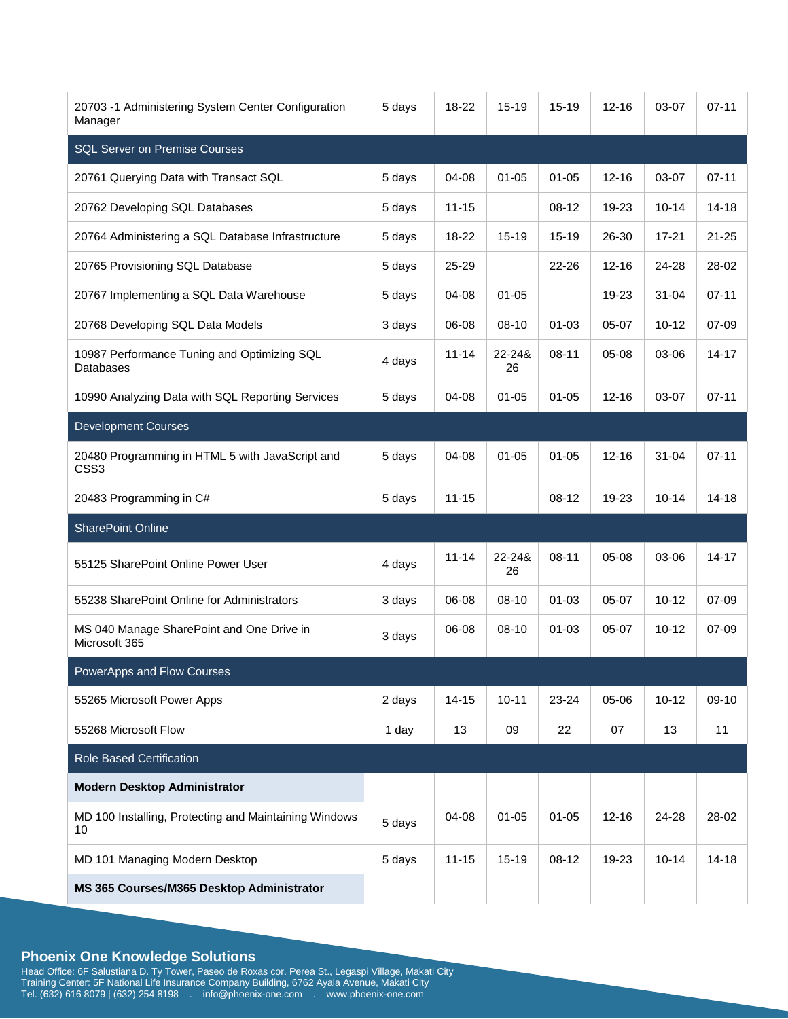| 20703 -1 Administering System Center Configuration<br>Manager       | 5 days | 18-22     | 15-19        | $15 - 19$ | $12 - 16$ | 03-07     | $07 - 11$ |
|---------------------------------------------------------------------|--------|-----------|--------------|-----------|-----------|-----------|-----------|
| <b>SQL Server on Premise Courses</b>                                |        |           |              |           |           |           |           |
| 20761 Querying Data with Transact SQL                               | 5 days | 04-08     | $01 - 05$    | $01 - 05$ | $12 - 16$ | 03-07     | $07 - 11$ |
| 20762 Developing SQL Databases                                      | 5 days | $11 - 15$ |              | $08-12$   | 19-23     | $10 - 14$ | $14 - 18$ |
| 20764 Administering a SQL Database Infrastructure                   | 5 days | 18-22     | 15-19        | $15 - 19$ | 26-30     | $17 - 21$ | $21 - 25$ |
| 20765 Provisioning SQL Database                                     | 5 days | 25-29     |              | 22-26     | $12 - 16$ | 24-28     | 28-02     |
| 20767 Implementing a SQL Data Warehouse                             | 5 days | 04-08     | $01 - 05$    |           | 19-23     | 31-04     | $07 - 11$ |
| 20768 Developing SQL Data Models                                    | 3 days | 06-08     | 08-10        | $01 - 03$ | 05-07     | $10 - 12$ | 07-09     |
| 10987 Performance Tuning and Optimizing SQL<br>Databases            | 4 days | $11 - 14$ | 22-24&<br>26 | $08 - 11$ | 05-08     | 03-06     | $14 - 17$ |
| 10990 Analyzing Data with SQL Reporting Services                    | 5 days | 04-08     | $01 - 05$    | $01 - 05$ | $12 - 16$ | 03-07     | $07 - 11$ |
| <b>Development Courses</b>                                          |        |           |              |           |           |           |           |
| 20480 Programming in HTML 5 with JavaScript and<br>CSS <sub>3</sub> | 5 days | $04 - 08$ | $01 - 05$    | $01 - 05$ | $12 - 16$ | $31 - 04$ | $07 - 11$ |
| 20483 Programming in C#                                             | 5 days | $11 - 15$ |              | 08-12     | 19-23     | $10 - 14$ | $14 - 18$ |
| <b>SharePoint Online</b>                                            |        |           |              |           |           |           |           |
| 55125 SharePoint Online Power User                                  | 4 days | $11 - 14$ | 22-24&<br>26 | $08 - 11$ | 05-08     | 03-06     | $14 - 17$ |
| 55238 SharePoint Online for Administrators                          | 3 days | 06-08     | $08 - 10$    | $01 - 03$ | 05-07     | $10 - 12$ | 07-09     |
| MS 040 Manage SharePoint and One Drive in<br>Microsoft 365          | 3 days | 06-08     | $08-10$      | $01 - 03$ | 05-07     | $10 - 12$ | 07-09     |
| PowerApps and Flow Courses                                          |        |           |              |           |           |           |           |
| 55265 Microsoft Power Apps                                          | 2 days | $14 - 15$ | $10 - 11$    | 23-24     | 05-06     | $10 - 12$ | $09-10$   |
| 55268 Microsoft Flow                                                | 1 day  | 13        | 09           | 22        | 07        | 13        | 11        |
| <b>Role Based Certification</b>                                     |        |           |              |           |           |           |           |
| <b>Modern Desktop Administrator</b>                                 |        |           |              |           |           |           |           |
| MD 100 Installing, Protecting and Maintaining Windows<br>10         | 5 days | 04-08     | $01 - 05$    | $01 - 05$ | $12 - 16$ | 24-28     | 28-02     |
| MD 101 Managing Modern Desktop                                      | 5 days | $11 - 15$ | 15-19        | 08-12     | 19-23     | $10 - 14$ | $14 - 18$ |
| MS 365 Courses/M365 Desktop Administrator                           |        |           |              |           |           |           |           |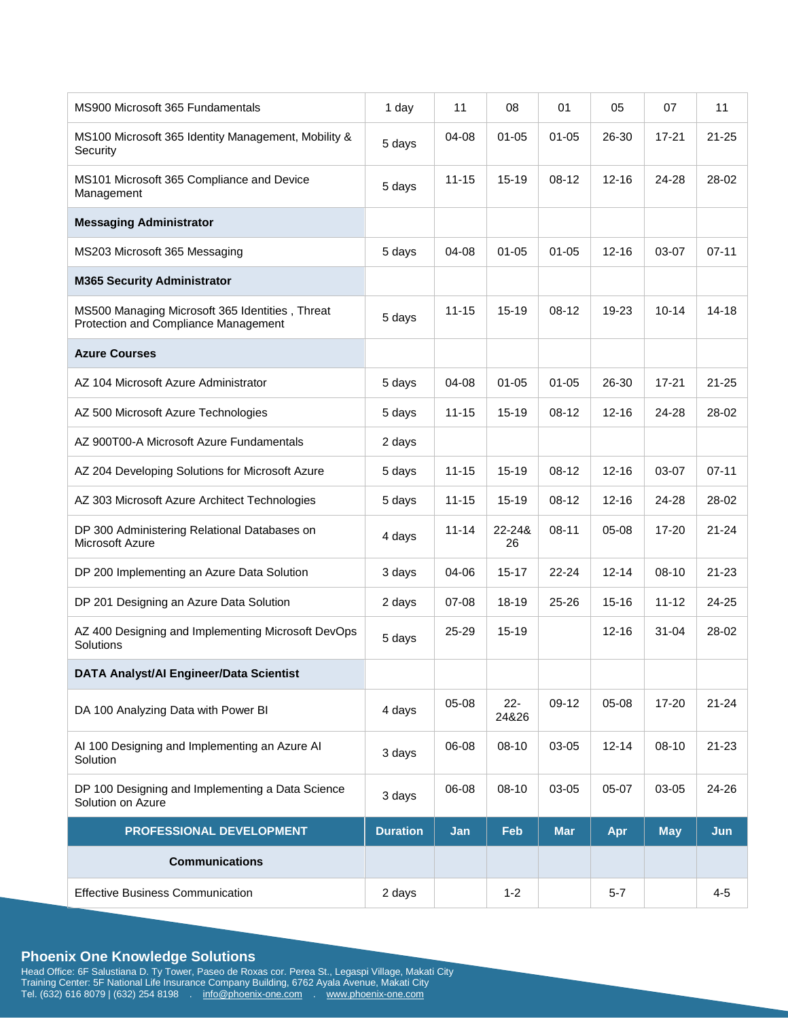| MS900 Microsoft 365 Fundamentals                                                        | 1 day           | 11        | 08              | 01         | 05        | 07         | 11        |
|-----------------------------------------------------------------------------------------|-----------------|-----------|-----------------|------------|-----------|------------|-----------|
| MS100 Microsoft 365 Identity Management, Mobility &<br>Security                         | 5 days          | 04-08     | $01 - 05$       | $01 - 05$  | 26-30     | 17-21      | $21 - 25$ |
| MS101 Microsoft 365 Compliance and Device<br>Management                                 | 5 days          | $11 - 15$ | $15 - 19$       | $08-12$    | $12 - 16$ | 24-28      | 28-02     |
| <b>Messaging Administrator</b>                                                          |                 |           |                 |            |           |            |           |
| MS203 Microsoft 365 Messaging                                                           | 5 days          | 04-08     | $01 - 05$       | $01 - 05$  | $12 - 16$ | 03-07      | $07 - 11$ |
| <b>M365 Security Administrator</b>                                                      |                 |           |                 |            |           |            |           |
| MS500 Managing Microsoft 365 Identities, Threat<br>Protection and Compliance Management | 5 days          | $11 - 15$ | $15 - 19$       | $08 - 12$  | 19-23     | $10 - 14$  | $14 - 18$ |
| <b>Azure Courses</b>                                                                    |                 |           |                 |            |           |            |           |
| AZ 104 Microsoft Azure Administrator                                                    | 5 days          | 04-08     | $01 - 05$       | $01 - 05$  | 26-30     | $17 - 21$  | $21 - 25$ |
| AZ 500 Microsoft Azure Technologies                                                     | 5 days          | $11 - 15$ | $15 - 19$       | 08-12      | $12 - 16$ | 24-28      | 28-02     |
| AZ 900T00-A Microsoft Azure Fundamentals                                                | 2 days          |           |                 |            |           |            |           |
| AZ 204 Developing Solutions for Microsoft Azure                                         | 5 days          | $11 - 15$ | 15-19           | $08-12$    | $12 - 16$ | 03-07      | $07 - 11$ |
| AZ 303 Microsoft Azure Architect Technologies                                           | 5 days          | $11 - 15$ | 15-19           | 08-12      | $12 - 16$ | 24-28      | 28-02     |
| DP 300 Administering Relational Databases on<br>Microsoft Azure                         | 4 days          | $11 - 14$ | 22-24&<br>26    | $08 - 11$  | 05-08     | 17-20      | $21 - 24$ |
| DP 200 Implementing an Azure Data Solution                                              | 3 days          | 04-06     | $15 - 17$       | $22 - 24$  | $12 - 14$ | 08-10      | $21 - 23$ |
| DP 201 Designing an Azure Data Solution                                                 | 2 days          | 07-08     | 18-19           | 25-26      | $15 - 16$ | $11 - 12$  | 24-25     |
| AZ 400 Designing and Implementing Microsoft DevOps<br>Solutions                         | 5 days          | 25-29     | $15 - 19$       |            | $12 - 16$ | $31 - 04$  | 28-02     |
| DATA Analyst/Al Engineer/Data Scientist                                                 |                 |           |                 |            |           |            |           |
| DA 100 Analyzing Data with Power BI                                                     | 4 days          | 05-08     | $22 -$<br>24&26 | 09-12      | 05-08     | 17-20      | $21 - 24$ |
| Al 100 Designing and Implementing an Azure Al<br>Solution                               | 3 days          | 06-08     | 08-10           | 03-05      | $12 - 14$ | 08-10      | $21 - 23$ |
| DP 100 Designing and Implementing a Data Science<br>Solution on Azure                   | 3 days          | 06-08     | 08-10           | 03-05      | 05-07     | 03-05      | 24-26     |
| PROFESSIONAL DEVELOPMENT                                                                | <b>Duration</b> | Jan       | Feb             | <b>Mar</b> | Apr       | <b>May</b> | Jun       |
| <b>Communications</b>                                                                   |                 |           |                 |            |           |            |           |
| <b>Effective Business Communication</b>                                                 | 2 days          |           | $1 - 2$         |            | $5 - 7$   |            | $4 - 5$   |